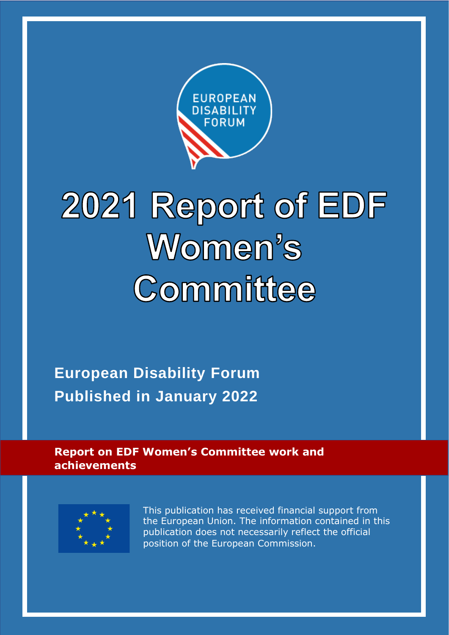

# 2021 Report of EDF Women's Committee

**European Disability Forum Published in January 2022**

**Report on EDF Women's Committee work and achievements**



This publication has received financial support from the European Union. The information contained in this publication does not necessarily reflect the official position of the European Commission.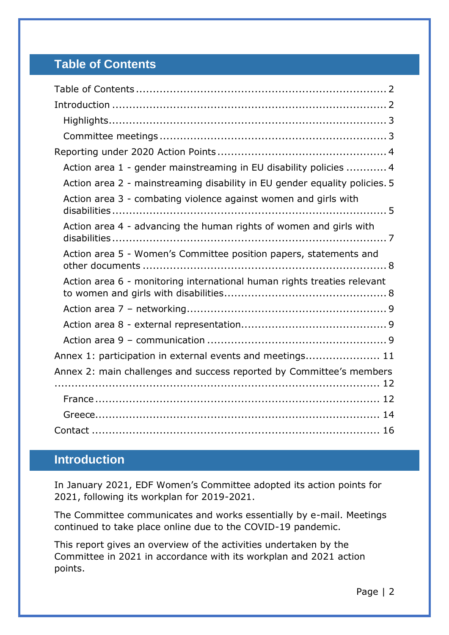# <span id="page-1-0"></span>**Table of Contents**

| Action area 1 - gender mainstreaming in EU disability policies  4          |
|----------------------------------------------------------------------------|
| Action area 2 - mainstreaming disability in EU gender equality policies. 5 |
| Action area 3 - combating violence against women and girls with            |
| Action area 4 - advancing the human rights of women and girls with         |
| Action area 5 - Women's Committee position papers, statements and          |
| Action area 6 - monitoring international human rights treaties relevant    |
|                                                                            |
|                                                                            |
|                                                                            |
| Annex 1: participation in external events and meetings 11                  |
| Annex 2: main challenges and success reported by Committee's members       |
|                                                                            |
|                                                                            |
|                                                                            |

# <span id="page-1-1"></span>**Introduction**

In January 2021, EDF Women's Committee adopted its action points for 2021, following its workplan for 2019-2021.

The Committee communicates and works essentially by e-mail. Meetings continued to take place online due to the COVID-19 pandemic.

This report gives an overview of the activities undertaken by the Committee in 2021 in accordance with its workplan and 2021 action points.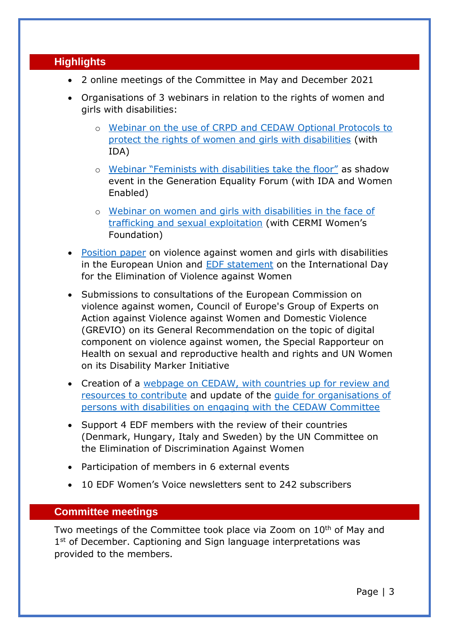#### <span id="page-2-0"></span>**Highlights**

- 2 online meetings of the Committee in May and December 2021
- Organisations of 3 webinars in relation to the rights of women and girls with disabilities:
	- o [Webinar on the use of CRPD and CEDAW Optional Protocols to](https://www.edf-feph.org/events-slug/edf-ida-workshop-on-using-the-un-optional-protocols-to-defend-the-rights-of-women-and-girls-with-disabilities/)  [protect the rights of women and girls with disabilities](https://www.edf-feph.org/events-slug/edf-ida-workshop-on-using-the-un-optional-protocols-to-defend-the-rights-of-women-and-girls-with-disabilities/) (with IDA)
	- o [Webinar "Feminists with disabilities take the floor"](https://www.edf-feph.org/feminists-with-disabilities-take-the-floor-at-the-generation-equality-forum/) as shadow event in the Generation Equality Forum (with IDA and Women Enabled)
	- o [Webinar on women and girls with disabilities in the face of](https://www.edf-feph.org/events-slug/cermi-womens-foundation-european-disability-forum-webinar-on-women-and-girls-with-disabilities-in-the-face-of-trafficking-and-sexual-exploitation/)  [trafficking and sexual exploitation](https://www.edf-feph.org/events-slug/cermi-womens-foundation-european-disability-forum-webinar-on-women-and-girls-with-disabilities-in-the-face-of-trafficking-and-sexual-exploitation/) (with CERMI Women's Foundation)
- [Position paper](https://www.edf-feph.org/edf-position-paper-on-violence-against-women-and-girls-with-disabilities/) on violence against women and girls with disabilities in the European Union and **EDF** statement on the International Day for the Elimination of Violence against Women
- Submissions to consultations of the European Commission on violence against women, Council of Europe's Group of Experts on Action against Violence against Women and Domestic Violence (GREVIO) on its General Recommendation on the topic of digital component on violence against women, the Special Rapporteur on Health on sexual and reproductive health and rights and UN Women on its Disability Marker Initiative
- Creation of a [webpage on CEDAW, with countries up for review and](https://www.edf-feph.org/cedaw/)  [resources to contribute](https://www.edf-feph.org/cedaw/) and update of the [guide for organisations of](https://www.edf-feph.org/content/uploads/2021/02/The-United-Nations-CEDAW-Committee-guide-for-DPO-for-upload.pdf)  [persons with disabilities on engaging with the CEDAW Committee](https://www.edf-feph.org/content/uploads/2021/02/The-United-Nations-CEDAW-Committee-guide-for-DPO-for-upload.pdf)
- Support 4 EDF members with the review of their countries (Denmark, Hungary, Italy and Sweden) by the UN Committee on the Elimination of Discrimination Against Women
- Participation of members in 6 external events
- 10 EDF Women's Voice newsletters sent to 242 subscribers

#### <span id="page-2-1"></span>**Committee meetings**

Two meetings of the Committee took place via Zoom on 10<sup>th</sup> of May and 1<sup>st</sup> of December. Captioning and Sign language interpretations was provided to the members.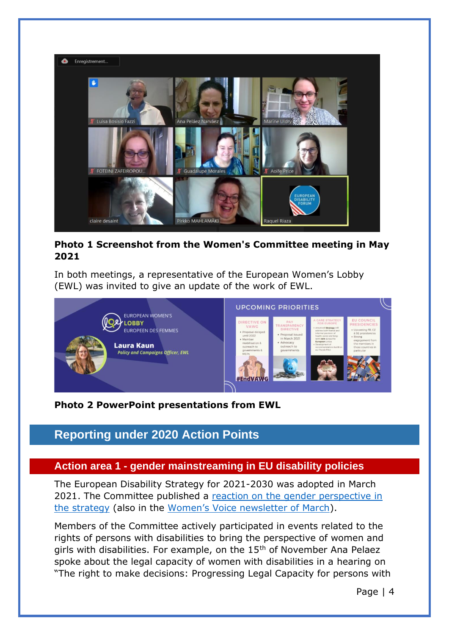

#### **Photo 1 Screenshot from the Women's Committee meeting in May 2021**

In both meetings, a representative of the European Women's Lobby (EWL) was invited to give an update of the work of EWL.



#### **Photo 2 PowerPoint presentations from EWL**

# <span id="page-3-0"></span>**Reporting under 2020 Action Points**

#### <span id="page-3-1"></span>**Action area 1 - gender mainstreaming in EU disability policies**

The European Disability Strategy for 2021-2030 was adopted in March 2021. The Committee published a [reaction on the gender perspective in](https://www.edf-feph.org/inclusion-of-women-and-girls-with-disabilities-in-the-new-eu-disability-rights-strategy/)  [the strategy](https://www.edf-feph.org/inclusion-of-women-and-girls-with-disabilities-in-the-new-eu-disability-rights-strategy/) (also in the [Women's Voice newsletter of March](https://us9.campaign-archive.com/?u=865a5bbea1086c57a41cc876d&id=bf540335fa)).

Members of the Committee actively participated in events related to the rights of persons with disabilities to bring the perspective of women and girls with disabilities. For example, on the 15<sup>th</sup> of November Ana Pelaez spoke about the legal capacity of women with disabilities in a hearing on "The right to make decisions: Progressing Legal Capacity for persons with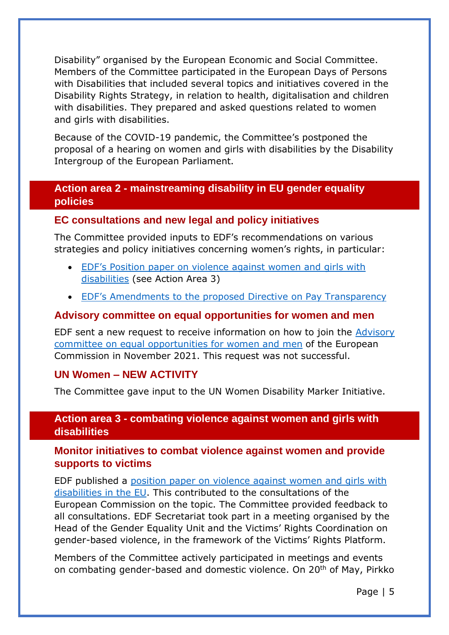Disability" organised by the European Economic and Social Committee. Members of the Committee participated in the European Days of Persons with Disabilities that included several topics and initiatives covered in the Disability Rights Strategy, in relation to health, digitalisation and children with disabilities. They prepared and asked questions related to women and girls with disabilities.

Because of the COVID-19 pandemic, the Committee's postponed the proposal of a hearing on women and girls with disabilities by the Disability Intergroup of the European Parliament.

#### <span id="page-4-0"></span>**Action area 2 - mainstreaming disability in EU gender equality policies**

#### **EC consultations and new legal and policy initiatives**

The Committee provided inputs to EDF's recommendations on various strategies and policy initiatives concerning women's rights, in particular:

- [EDF's Position paper on violence against women and girls with](https://www.edf-feph.org/edf-position-paper-on-violence-against-women-and-girls-with-disabilities/)  [disabilities](https://www.edf-feph.org/edf-position-paper-on-violence-against-women-and-girls-with-disabilities/) (see Action Area 3)
- [EDF's Amendments to the proposed Directi](https://www.edf-feph.org/publications/edf-proposals-for-amendments-to-the-pay-transparency-directive/)ve on Pay Transparency

#### **Advisory committee on equal opportunities for women and men**

EDF sent a new request to receive information on how to join the Advisory committee on equal opportunities for women and men of the European Commission in November 2021. This request was not successful.

#### **UN Women – NEW ACTIVITY**

The Committee gave input to the UN Women Disability Marker Initiative.

#### <span id="page-4-1"></span>**Action area 3 - combating violence against women and girls with disabilities**

#### **Monitor initiatives to combat violence against women and provide supports to victims**

EDF published a [position paper on violence against women and girls with](https://www.edf-feph.org/edf-position-paper-on-violence-against-women-and-girls-with-disabilities/)  [disabilities in the EU.](https://www.edf-feph.org/edf-position-paper-on-violence-against-women-and-girls-with-disabilities/) This contributed to the consultations of the European Commission on the topic. The Committee provided feedback to all consultations. EDF Secretariat took part in a meeting organised by the Head of the Gender Equality Unit and the Victims' Rights Coordination on gender-based violence, in the framework of the Victims' Rights Platform.

Members of the Committee actively participated in meetings and events on combating gender-based and domestic violence. On 20<sup>th</sup> of May, Pirkko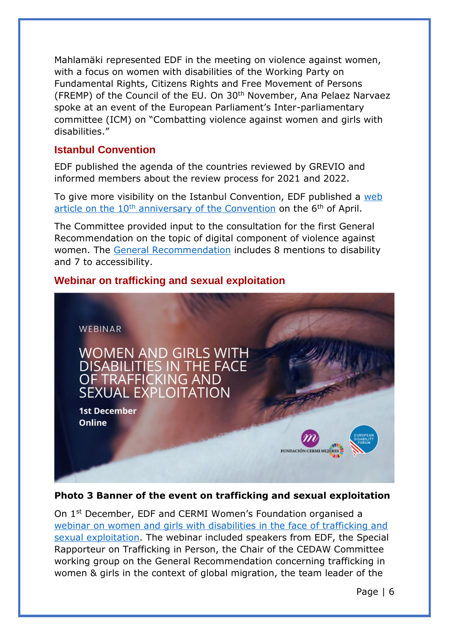Mahlamäki represented EDF in the meeting on violence against women, with a focus on women with disabilities of the Working Party on Fundamental Rights, Citizens Rights and Free Movement of Persons (FREMP) of the Council of the EU. On 30th November, Ana Pelaez Narvaez spoke at an event of the European Parliament's Inter-parliamentary committee (ICM) on "Combatting violence against women and girls with disabilities."

#### **Istanbul Convention**

EDF published the agenda of the countries reviewed by GREVIO and informed members about the review process for 2021 and 2022.

To give more visibility on the Istanbul Convention, EDF published a [web](https://www.edf-feph.org/10th-anniversary-of-the-istanbul-convention/)  article on the  $10<sup>th</sup>$  [anniversary of the Convention](https://www.edf-feph.org/10th-anniversary-of-the-istanbul-convention/) on the  $6<sup>th</sup>$  of April.

The Committee provided input to the consultation for the first General Recommendation on the topic of digital component of violence against women. The [General Recommendation](https://www.coe.int/en/web/istanbul-convention/-/grevio-publishes-its-general-recommendation-no-1) includes 8 mentions to disability and 7 to accessibility.

#### **Webinar on trafficking and sexual exploitation**



#### **Photo 3 Banner of the event on trafficking and sexual exploitation**

On 1st December, EDF and CERMI Women's Foundation organised a [webinar on women and girls with disabilities in the face of trafficking and](https://www.edf-feph.org/events-slug/cermi-womens-foundation-european-disability-forum-webinar-on-women-and-girls-with-disabilities-in-the-face-of-trafficking-and-sexual-exploitation/)  [sexual exploitation.](https://www.edf-feph.org/events-slug/cermi-womens-foundation-european-disability-forum-webinar-on-women-and-girls-with-disabilities-in-the-face-of-trafficking-and-sexual-exploitation/) The webinar included speakers from EDF, the Special Rapporteur on Trafficking in Person, the Chair of the CEDAW Committee working group on the General Recommendation concerning trafficking in women & girls in the context of global migration, the team leader of the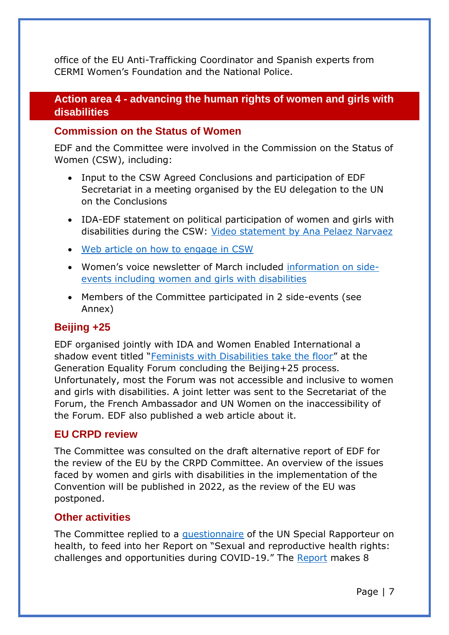office of the EU Anti-Trafficking Coordinator and Spanish experts from CERMI Women's Foundation and the National Police.

#### <span id="page-6-0"></span>**Action area 4 - advancing the human rights of women and girls with disabilities**

#### **Commission on the Status of Women**

EDF and the Committee were involved in the Commission on the Status of Women (CSW), including:

- Input to the CSW Agreed Conclusions and participation of EDF Secretariat in a meeting organised by the EU delegation to the UN on the Conclusions
- IDA-EDF statement on political participation of women and girls with disabilities during the CSW: Video statement [by Ana Pelaez Narvaez](https://www.edf-feph.org/joint-statement-on-political-participation-for-the-commission-on-the-status-of-women/)
- [Web article on how to engage in CSW](https://www.edf-feph.org/commission-on-the-status-of-women-how-to-engage/)
- Women's voice newsletter of March included [information on side](https://us9.campaign-archive.com/?u=865a5bbea1086c57a41cc876d&id=bf540335fa)[events including women and girls with disabilities](https://us9.campaign-archive.com/?u=865a5bbea1086c57a41cc876d&id=bf540335fa)
- Members of the Committee participated in 2 side-events (see Annex)

#### **Beijing +25**

EDF organised jointly with IDA and Women Enabled International a shadow event titled "[Feminists with Disabilities take the floor](https://www.edf-feph.org/feminists-with-disabilities-take-the-floor-at-the-generation-equality-forum/)" at the Generation Equality Forum concluding the Beijing+25 process. Unfortunately, most the Forum was not accessible and inclusive to women and girls with disabilities. A joint letter was sent to the Secretariat of the Forum, the French Ambassador and UN Women on the inaccessibility of the Forum. EDF also published a web article about it.

#### **EU CRPD review**

The Committee was consulted on the draft alternative report of EDF for the review of the EU by the CRPD Committee. An overview of the issues faced by women and girls with disabilities in the implementation of the Convention will be published in 2022, as the review of the EU was postponed.

#### **Other activities**

The Committee replied to a [questionnaire](https://www.ohchr.org/EN/Issues/Health/Pages/sexual-reproductive-health-covid.aspx) of the UN Special Rapporteur on health, to feed into her Report on "Sexual and reproductive health rights: challenges and opportunities during COVID-19." The [Report](https://undocs.org/A/76/172) makes 8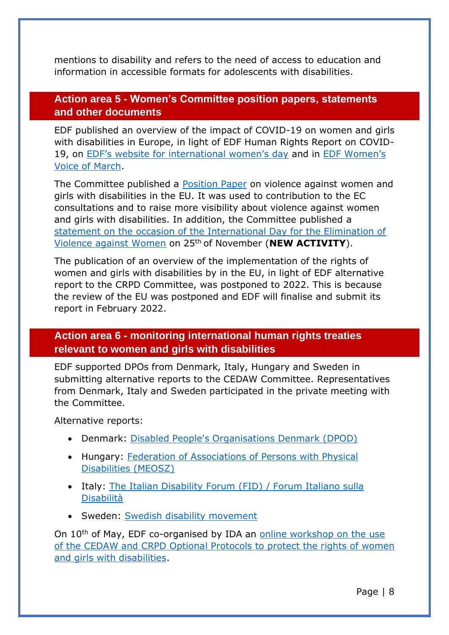mentions to disability and refers to the need of access to education and information in accessible formats for adolescents with disabilities.

#### <span id="page-7-0"></span>**Action area 5 - Women's Committee position papers, statements and other documents**

EDF published an overview of the impact of COVID-19 on women and girls with disabilities in Europe, in light of EDF Human Rights Report on COVID-19, on [EDF's website for international women's day](https://www.edf-feph.org/international-womens-day-2021/) and in [EDF Women's](https://us9.campaign-archive.com/?u=865a5bbea1086c57a41cc876d&id=bf540335fa)  [Voice of March.](https://us9.campaign-archive.com/?u=865a5bbea1086c57a41cc876d&id=bf540335fa)

The Committee published a [Position Paper](https://www.edf-feph.org/edf-position-paper-on-violence-against-women-and-girls-with-disabilities/) on violence against women and girls with disabilities in the EU. It was used to contribution to the EC consultations and to raise more visibility about violence against women and girls with disabilities. In addition, the Committee published a [statement on the occasion of the International Day for the Elimination of](https://www.edf-feph.org/no-more-violence-against-women-with-disabilities/)  [Violence against Women](https://www.edf-feph.org/no-more-violence-against-women-with-disabilities/) on 25th of November (**NEW ACTIVITY**).

The publication of an overview of the implementation of the rights of women and girls with disabilities by in the EU, in light of EDF alternative report to the CRPD Committee, was postponed to 2022. This is because the review of the EU was postponed and EDF will finalise and submit its report in February 2022.

#### <span id="page-7-1"></span>**Action area 6 - monitoring international human rights treaties relevant to women and girls with disabilities**

EDF supported DPOs from Denmark, Italy, Hungary and Sweden in submitting alternative reports to the CEDAW Committee. Representatives from Denmark, Italy and Sweden participated in the private meeting with the Committee.

Alternative reports:

- Denmark: [Disabled People's Organisations Denmark \(DPOD\)](https://tbinternet.ohchr.org/_layouts/15/treatybodyexternal/Download.aspx?symbolno=INT%2fCEDAW%2fCSS%2fDNK%2f44282&Lang=en)
- Hungary: [Federation of Associations of Persons with Physical](https://tbinternet.ohchr.org/_layouts/15/treatybodyexternal/Download.aspx?symbolno=INT%2fCEDAW%2fICO%2fHUN%2f44316&Lang=en)  [Disabilities \(MEOSZ\)](https://tbinternet.ohchr.org/_layouts/15/treatybodyexternal/Download.aspx?symbolno=INT%2fCEDAW%2fICO%2fHUN%2f44316&Lang=en)
- Italy: [The Italian Disability Forum \(FID\) / Forum Italiano sulla](https://tbinternet.ohchr.org/_layouts/15/treatybodyexternal/Download.aspx?symbolno=INT%2fCEDAW%2fICS%2fITA%2f44207&Lang=en)  [Disabilità](https://tbinternet.ohchr.org/_layouts/15/treatybodyexternal/Download.aspx?symbolno=INT%2fCEDAW%2fICS%2fITA%2f44207&Lang=en)
- Sweden: [Swedish disability movement](https://tbinternet.ohchr.org/_layouts/15/treatybodyexternal/Download.aspx?symbolno=INT%2fCEDAW%2fNGO%2fSWE%2f46780&Lang=en)

On 10th of May, EDF co-organised by IDA an [online workshop on the use](https://www.edf-feph.org/events-slug/edf-ida-workshop-on-using-the-un-optional-protocols-to-defend-the-rights-of-women-and-girls-with-disabilities/)  [of the CEDAW and CRPD Optional Protocols to protect the rights of women](https://www.edf-feph.org/events-slug/edf-ida-workshop-on-using-the-un-optional-protocols-to-defend-the-rights-of-women-and-girls-with-disabilities/)  [and girls with disabilities.](https://www.edf-feph.org/events-slug/edf-ida-workshop-on-using-the-un-optional-protocols-to-defend-the-rights-of-women-and-girls-with-disabilities/)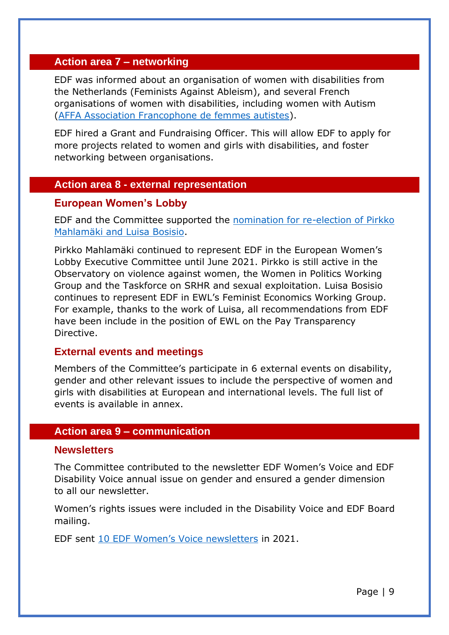#### <span id="page-8-0"></span>**Action area 7 – networking**

EDF was informed about an organisation of women with disabilities from the Netherlands (Feminists Against Ableism), and several French organisations of women with disabilities, including women with Autism [\(AFFA Association Francophone de femmes autistes\)](https://femmesautistesfrancophones.com/).

EDF hired a Grant and Fundraising Officer. This will allow EDF to apply for more projects related to women and girls with disabilities, and foster networking between organisations.

#### <span id="page-8-1"></span>**Action area 8 - external representation**

#### **European Women's Lobby**

EDF and the Committee supported the [nomination for re-election of Pirkko](https://www.edf-feph.org/edfs-womens-committee-representatives-run-in-the-european-womens-lobby-elections/)  [Mahlamäki and Luisa Bosisio.](https://www.edf-feph.org/edfs-womens-committee-representatives-run-in-the-european-womens-lobby-elections/)

Pirkko Mahlamäki continued to represent EDF in the European Women's Lobby Executive Committee until June 2021. Pirkko is still active in the Observatory on violence against women, the Women in Politics Working Group and the Taskforce on SRHR and sexual exploitation. Luisa Bosisio continues to represent EDF in EWL's Feminist Economics Working Group. For example, thanks to the work of Luisa, all recommendations from EDF have been include in the position of EWL on the Pay Transparency Directive.

#### **External events and meetings**

Members of the Committee's participate in 6 external events on disability, gender and other relevant issues to include the perspective of women and girls with disabilities at European and international levels. The full list of events is available in annex.

#### <span id="page-8-2"></span>**Action area 9 – communication**

#### **Newsletters**

The Committee contributed to the newsletter EDF Women's Voice and EDF Disability Voice annual issue on gender and ensured a gender dimension to all our newsletter.

Women's rights issues were included in the Disability Voice and EDF Board mailing.

EDF sent [10 EDF Women's Voice newsletters](https://us9.campaign-archive.com/home/?u=865a5bbea1086c57a41cc876d&id=17f1b177f5) in 2021.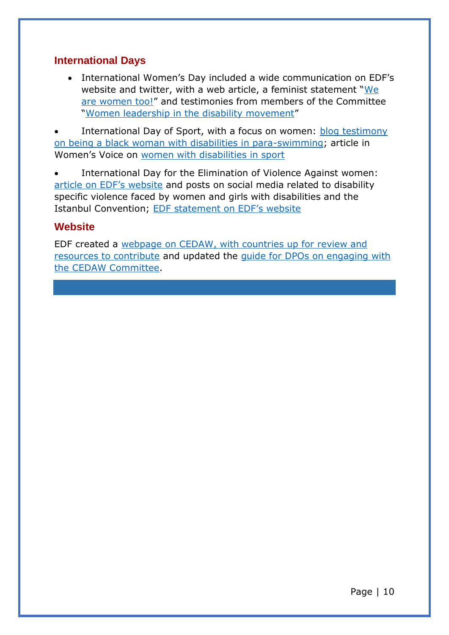#### **International Days**

• International Women's Day included a wide communication on EDF's website and twitter, with a web article, a feminist statement "[We](https://www.edf-feph.org/women-with-disabilities-a-feminist-statement-we-are-women-too/)  [are women too!](https://www.edf-feph.org/women-with-disabilities-a-feminist-statement-we-are-women-too/)" and testimonies from members of the Committee "[Women leadership in the disability movement](https://www.edf-feph.org/women-leadership-in-the-disability-movement/)"

International Day of Sport, with a focus on women: **blog testimony** [on being a black woman with disabilities in para-swimming;](https://www.edf-feph.org/blog/the-black-siren-experience-of-a-young-para-swimmer/) article in Women's Voice on [women with disabilities in sport](https://us9.campaign-archive.com/?u=865a5bbea1086c57a41cc876d&id=1d275452ce)

International Day for the Elimination of Violence Against women: [article on EDF's website](https://www.edf-feph.org/edf-joins-world-day-for-the-elimination-of-violence-against-women-orange-the-world-fund-respond-prevent-collect/) and posts on social media related to disability specific violence faced by women and girls with disabilities and the Istanbul Convention; [EDF statement on EDF's website](https://www.edf-feph.org/no-more-violence-against-women-with-disabilities/)

#### **Website**

EDF created a [webpage on CEDAW, with countries up for review and](https://www.edf-feph.org/cedaw/)  [resources to contribute](https://www.edf-feph.org/cedaw/) and updated the [guide for DPOs on engaging with](https://www.edf-feph.org/content/uploads/2021/02/The-United-Nations-CEDAW-Committee-guide-for-DPO-for-upload.pdf)  [the CEDAW Committee.](https://www.edf-feph.org/content/uploads/2021/02/The-United-Nations-CEDAW-Committee-guide-for-DPO-for-upload.pdf)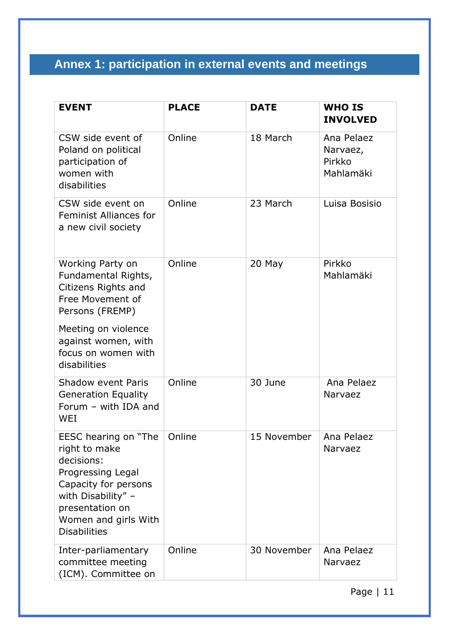# <span id="page-10-0"></span>**Annex 1: participation in external events and meetings**

| <b>EVENT</b>                                                                                                                                                                             | <b>PLACE</b> | <b>DATE</b> | <b>WHO IS</b><br><b>INVOLVED</b>              |
|------------------------------------------------------------------------------------------------------------------------------------------------------------------------------------------|--------------|-------------|-----------------------------------------------|
| CSW side event of<br>Poland on political<br>participation of<br>women with<br>disabilities                                                                                               | Online       | 18 March    | Ana Pelaez<br>Narvaez,<br>Pirkko<br>Mahlamäki |
| CSW side event on<br><b>Feminist Alliances for</b><br>a new civil society                                                                                                                | Online       | 23 March    | Luisa Bosisio                                 |
| Working Party on<br>Fundamental Rights,<br>Citizens Rights and<br>Free Movement of<br>Persons (FREMP)                                                                                    | Online       | 20 May      | Pirkko<br>Mahlamäki                           |
| Meeting on violence<br>against women, with<br>focus on women with<br>disabilities                                                                                                        |              |             |                                               |
| Shadow event Paris<br><b>Generation Equality</b><br>Forum - with IDA and<br><b>WEI</b>                                                                                                   | Online       | 30 June     | Ana Pelaez<br>Narvaez                         |
| EESC hearing on "The<br>right to make<br>decisions:<br>Progressing Legal<br>Capacity for persons<br>with Disability" -<br>presentation on<br>Women and girls With<br><b>Disabilities</b> | Online       | 15 November | Ana Pelaez<br><b>Narvaez</b>                  |
| Inter-parliamentary<br>committee meeting<br>(ICM). Committee on                                                                                                                          | Online       | 30 November | Ana Pelaez<br>Narvaez                         |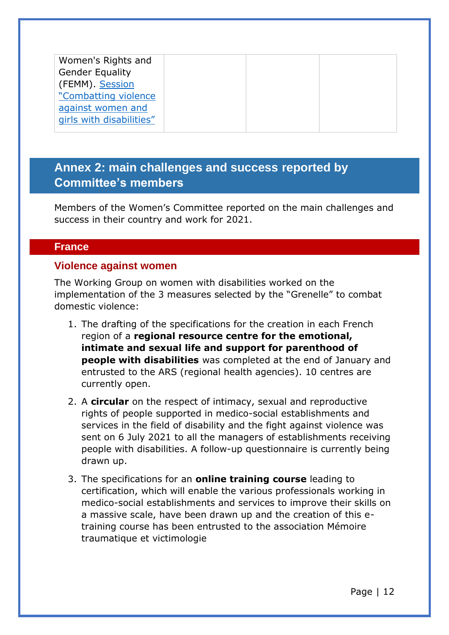| Women's Rights and       |  |  |
|--------------------------|--|--|
| <b>Gender Equality</b>   |  |  |
| (FEMM). Session          |  |  |
| "Combatting violence     |  |  |
| against women and        |  |  |
| girls with disabilities" |  |  |
|                          |  |  |

### <span id="page-11-0"></span>**Annex 2: main challenges and success reported by Committee's members**

Members of the Women's Committee reported on the main challenges and success in their country and work for 2021.

#### <span id="page-11-1"></span>**France**

#### **Violence against women**

The Working Group on women with disabilities worked on the implementation of the 3 measures selected by the "Grenelle" to combat domestic violence:

- 1. The drafting of the specifications for the creation in each French region of a **regional resource centre for the emotional, intimate and sexual life and support for parenthood of people with disabilities** was completed at the end of January and entrusted to the ARS (regional health agencies). 10 centres are currently open.
- 2. A **circular** on the respect of intimacy, sexual and reproductive rights of people supported in medico-social establishments and services in the field of disability and the fight against violence was sent on 6 July 2021 to all the managers of establishments receiving people with disabilities. A follow-up questionnaire is currently being drawn up.
- 3. The specifications for an **online training course** leading to certification, which will enable the various professionals working in medico-social establishments and services to improve their skills on a massive scale, have been drawn up and the creation of this etraining course has been entrusted to the association Mémoire traumatique et victimologie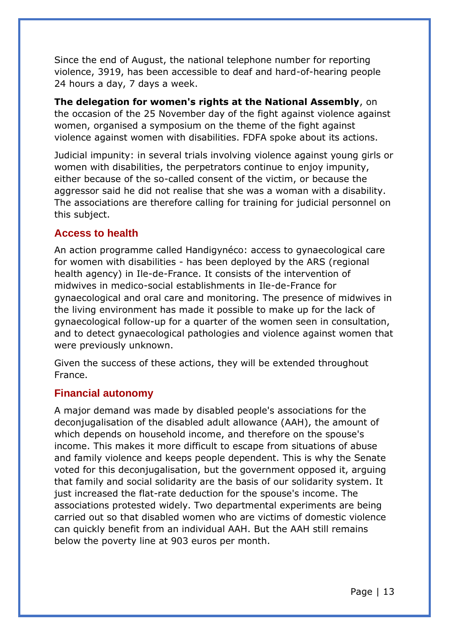Since the end of August, the national telephone number for reporting violence, 3919, has been accessible to deaf and hard-of-hearing people 24 hours a day, 7 days a week.

**The delegation for women's rights at the National Assembly**, on the occasion of the 25 November day of the fight against violence against women, organised a symposium on the theme of the fight against violence against women with disabilities. FDFA spoke about its actions.

Judicial impunity: in several trials involving violence against young girls or women with disabilities, the perpetrators continue to enjoy impunity, either because of the so-called consent of the victim, or because the aggressor said he did not realise that she was a woman with a disability. The associations are therefore calling for training for judicial personnel on this subject.

#### **Access to health**

An action programme called Handigynéco: access to gynaecological care for women with disabilities - has been deployed by the ARS (regional health agency) in Ile-de-France. It consists of the intervention of midwives in medico-social establishments in Ile-de-France for gynaecological and oral care and monitoring. The presence of midwives in the living environment has made it possible to make up for the lack of gynaecological follow-up for a quarter of the women seen in consultation, and to detect gynaecological pathologies and violence against women that were previously unknown.

Given the success of these actions, they will be extended throughout France.

#### **Financial autonomy**

A major demand was made by disabled people's associations for the deconjugalisation of the disabled adult allowance (AAH), the amount of which depends on household income, and therefore on the spouse's income. This makes it more difficult to escape from situations of abuse and family violence and keeps people dependent. This is why the Senate voted for this deconjugalisation, but the government opposed it, arguing that family and social solidarity are the basis of our solidarity system. It just increased the flat-rate deduction for the spouse's income. The associations protested widely. Two departmental experiments are being carried out so that disabled women who are victims of domestic violence can quickly benefit from an individual AAH. But the AAH still remains below the poverty line at 903 euros per month.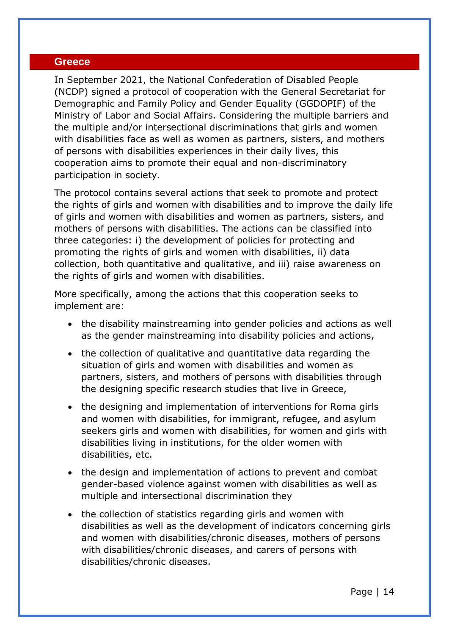#### <span id="page-13-0"></span>**Greece**

In September 2021, the National Confederation of Disabled People (NCDP) signed a protocol of cooperation with the General Secretariat for Demographic and Family Policy and Gender Equality (GGDOPIF) of the Ministry of Labor and Social Affairs. Considering the multiple barriers and the multiple and/or intersectional discriminations that girls and women with disabilities face as well as women as partners, sisters, and mothers of persons with disabilities experiences in their daily lives, this cooperation aims to promote their equal and non-discriminatory participation in society.

The protocol contains several actions that seek to promote and protect the rights of girls and women with disabilities and to improve the daily life of girls and women with disabilities and women as partners, sisters, and mothers of persons with disabilities. The actions can be classified into three categories: i) the development of policies for protecting and promoting the rights of girls and women with disabilities, ii) data collection, both quantitative and qualitative, and iii) raise awareness on the rights of girls and women with disabilities.

More specifically, among the actions that this cooperation seeks to implement are:

- the disability mainstreaming into gender policies and actions as well as the gender mainstreaming into disability policies and actions,
- the collection of qualitative and quantitative data regarding the situation of girls and women with disabilities and women as partners, sisters, and mothers of persons with disabilities through the designing specific research studies that live in Greece,
- the designing and implementation of interventions for Roma girls and women with disabilities, for immigrant, refugee, and asylum seekers girls and women with disabilities, for women and girls with disabilities living in institutions, for the older women with disabilities, etc.
- the design and implementation of actions to prevent and combat gender-based violence against women with disabilities as well as multiple and intersectional discrimination they
- the collection of statistics regarding girls and women with disabilities as well as the development of indicators concerning girls and women with disabilities/chronic diseases, mothers of persons with disabilities/chronic diseases, and carers of persons with disabilities/chronic diseases.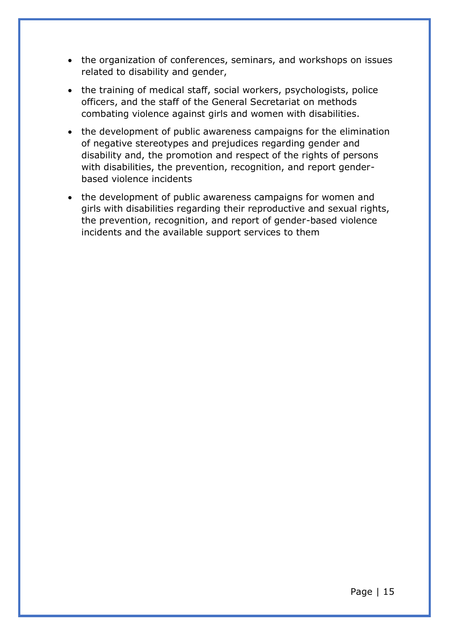- the organization of conferences, seminars, and workshops on issues related to disability and gender,
- the training of medical staff, social workers, psychologists, police officers, and the staff of the General Secretariat on methods combating violence against girls and women with disabilities.
- the development of public awareness campaigns for the elimination of negative stereotypes and prejudices regarding gender and disability and, the promotion and respect of the rights of persons with disabilities, the prevention, recognition, and report genderbased violence incidents
- the development of public awareness campaigns for women and girls with disabilities regarding their reproductive and sexual rights, the prevention, recognition, and report of gender-based violence incidents and the available support services to them